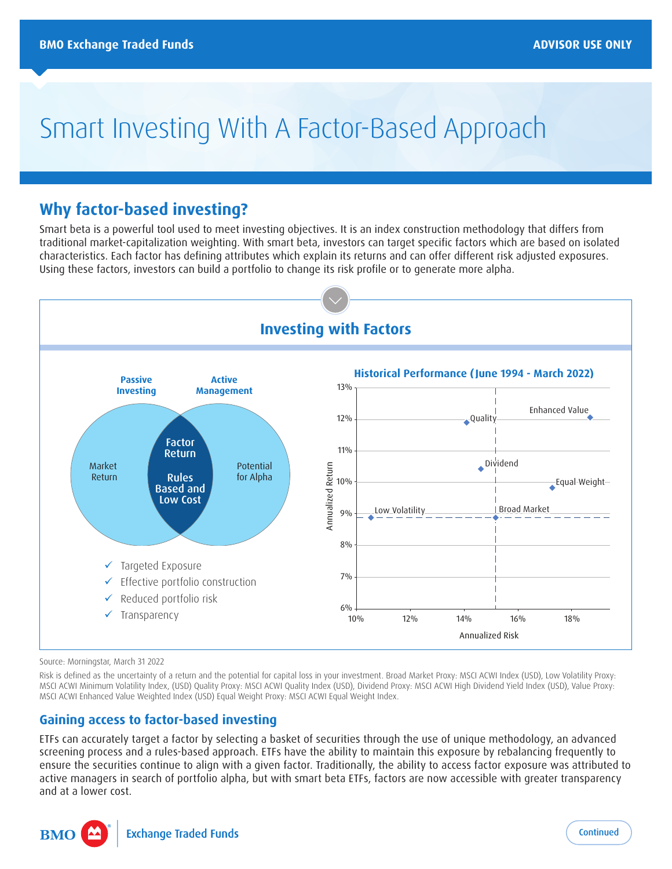# Smart Investing With A Factor-Based Approach

# **Why factor-based investing?**

Smart beta is a powerful tool used to meet investing objectives. It is an index construction methodology that differs from traditional market-capitalization weighting. With smart beta, investors can target specific factors which are based on isolated characteristics. Each factor has defining attributes which explain its returns and can offer different risk adjusted exposures. Using these factors, investors can build a portfolio to change its risk profile or to generate more alpha.



Source: Morningstar, March 31 2022

Risk is defined as the uncertainty of a return and the potential for capital loss in your investment. Broad Market Proxy: MSCI ACWI Index (USD), Low Volatility Proxy: MSCI ACWI Minimum Volatility Index, (USD) Quality Proxy: MSCI ACWI Quality Index (USD), Dividend Proxy: MSCI ACWI High Dividend Yield Index (USD), Value Proxy: MSCI ACWI Enhanced Value Weighted Index (USD) Equal Weight Proxy: MSCI ACWI Equal Weight Index.

# **Gaining access to factor-based investing**

ETFs can accurately target a factor by selecting a basket of securities through the use of unique methodology, an advanced screening process and a rules-based approach. ETFs have the ability to maintain this exposure by rebalancing frequently to ensure the securities continue to align with a given factor. Traditionally, the ability to access factor exposure was attributed to active managers in search of portfolio alpha, but with smart beta ETFs, factors are now accessible with greater transparency and at a lower cost.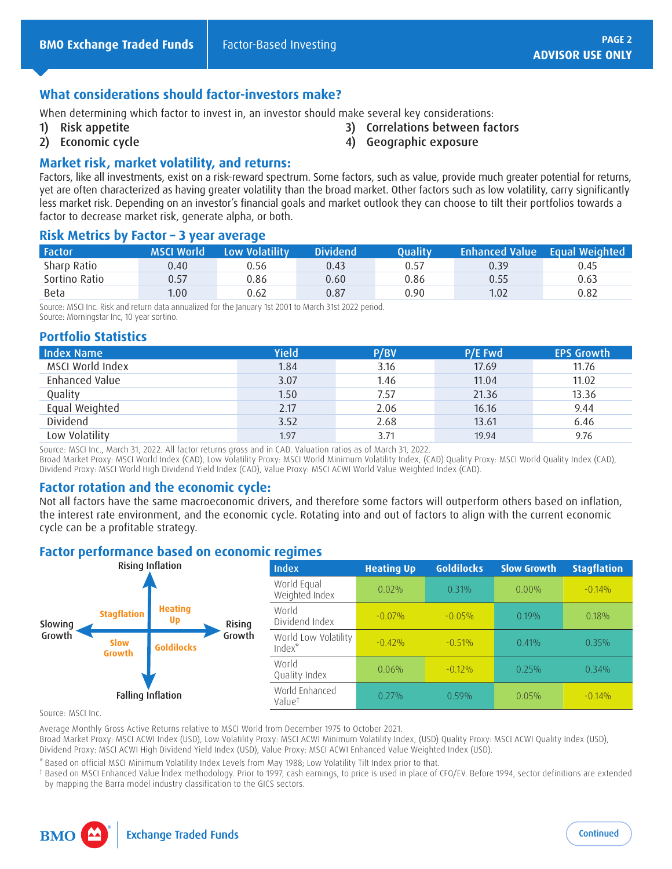#### **What considerations should factor-investors make?**

When determining which factor to invest in, an investor should make several key considerations:

1) Risk appetite

- 3) Correlations between factors
	- 4) Geographic exposure

2) Economic cycle

#### **Market risk, market volatility, and returns:**

Factors, like all investments, exist on a risk-reward spectrum. Some factors, such as value, provide much greater potential for returns, yet are often characterized as having greater volatility than the broad market. Other factors such as low volatility, carry significantly less market risk. Depending on an investor's financial goals and market outlook they can choose to tilt their portfolios towards a factor to decrease market risk, generate alpha, or both.

#### **Risk Metrics by Factor – 3 year average**

| <b>Factor</b> | <b>MSCI World</b> | Low Volatility | <b>Dividend</b> | Quality |      | <b>Enhanced Value</b> Equal Weighted |
|---------------|-------------------|----------------|-----------------|---------|------|--------------------------------------|
| Sharp Ratio   | 0.40              | 0.56           | 0.43            | 0.57    | 0.39 | 0.45                                 |
| Sortino Ratio | 0.57              | 0.86           | 0.60            | 0.86    | 0.55 | 0.63                                 |
| <b>Beta</b>   | 1.00              | 0.62           | 0.87            | 0.90    | 1.02 | 0.82                                 |

Source: MSCI Inc. Risk and return data annualized for the January 1st 2001 to March 31st 2022 period. Source: Morningstar Inc, 10 year sortino.

### **Portfolio Statistics**

| <b>Index Name</b> | <b>Yield</b> | P/BV | P/E Fwd | <b>EPS Growth</b> |
|-------------------|--------------|------|---------|-------------------|
| MSCI World Index  | 1.84         | 3.16 | 17.69   | 11.76             |
| Enhanced Value    | 3.07         | 1.46 | 11.04   | 11.02             |
| Quality           | 1.50         | 7.57 | 21.36   | 13.36             |
| Equal Weighted    | 2.17         | 2.06 | 16.16   | 9.44              |
| Dividend          | 3.52         | 2.68 | 13.61   | 6.46              |
| Low Volatility    | 1.97         | 3.71 | 19.94   | 9.76              |

Source: MSCI Inc., March 31, 2022. All factor returns gross and in CAD. Valuation ratios as of March 31, 2022.

Broad Market Proxy: MSCI World Index (CAD), Low Volatility Proxy: MSCI World Minimum Volatility Index, (CAD) Quality Proxy: MSCI World Quality Index (CAD), Dividend Proxy: MSCI World High Dividend Yield Index (CAD), Value Proxy: MSCI ACWI World Value Weighted Index (CAD).

#### **Factor rotation and the economic cycle:**

Not all factors have the same macroeconomic drivers, and therefore some factors will outperform others based on inflation, the interest rate environment, and the economic cycle. Rotating into and out of factors to align with the current economic cycle can be a profitable strategy.

#### **Factor performance based on economic regimes**



Source: MSCI Inc.

Average Monthly Gross Active Returns relative to MSCI World from December 1975 to October 2021.

Broad Market Proxy: MSCI ACWI Index (USD), Low Volatility Proxy: MSCI ACWI Minimum Volatility Index, (USD) Quality Proxy: MSCI ACWI Quality Index (USD), Dividend Proxy: MSCI ACWI High Dividend Yield Index (USD), Value Proxy: MSCI ACWI Enhanced Value Weighted Index (USD).

\* Based on official MSCI Minimum Volatility Index Levels from May 1988; Low Volatility Tilt Index prior to that.

† Based on MSCI Enhanced Value lndex methodology. Prior to 1997, cash earnings, to price is used in place of CFO/EV. Before 1994, sector definitions are extended by mapping the Barra model industry classification to the GICS sectors.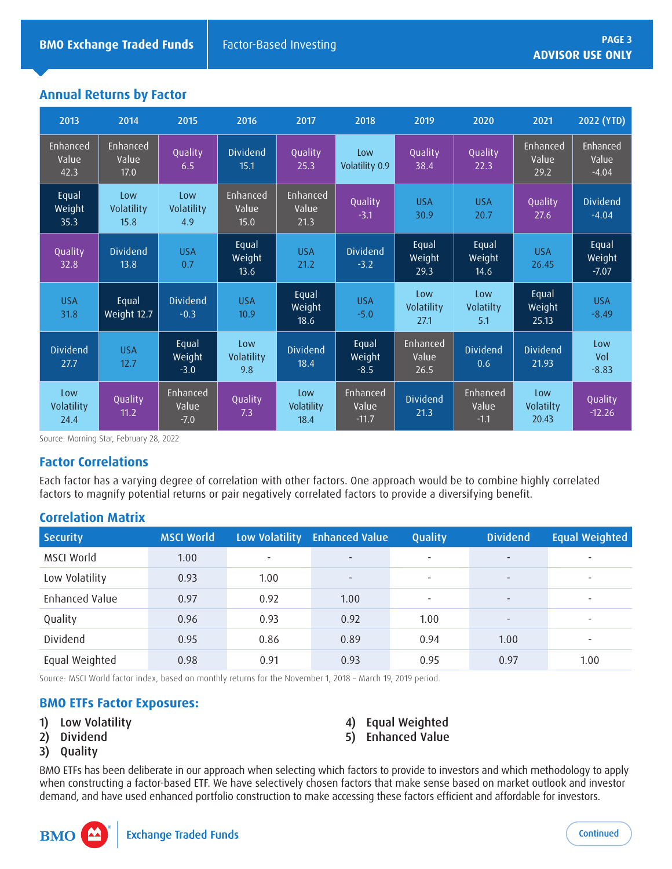# **Annual Returns by Factor**

| 2013                      | 2014                      | 2015                        | 2016                      | 2017                      | 2018                         | 2019                      | 2020                        | 2021                      | 2022 (YTD)                   |
|---------------------------|---------------------------|-----------------------------|---------------------------|---------------------------|------------------------------|---------------------------|-----------------------------|---------------------------|------------------------------|
| Enhanced<br>Value<br>42.3 | Enhanced<br>Value<br>17.0 | Quality<br>6.5              | <b>Dividend</b><br>15.1   | Quality<br>25.3           | Low<br>Volatility 0.9        | Quality<br>38.4           | Quality<br>22.3             | Enhanced<br>Value<br>29.2 | Enhanced<br>Value<br>$-4.04$ |
| Equal<br>Weight<br>35.3   | Low<br>Volatility<br>15.8 | Low<br>Volatility<br>4.9    | Enhanced<br>Value<br>15.0 | Enhanced<br>Value<br>21.3 | Quality<br>$-3.1$            | <b>USA</b><br>30.9        | <b>USA</b><br>20.7          | Quality<br>27.6           | <b>Dividend</b><br>$-4.04$   |
| Quality<br>32.8           | <b>Dividend</b><br>13.8   | <b>USA</b><br>0.7           | Equal<br>Weight<br>13.6   | <b>USA</b><br>21.2        | <b>Dividend</b><br>$-3.2$    | Equal<br>Weight<br>29.3   | Equal<br>Weight<br>14.6     | <b>USA</b><br>26.45       | Equal<br>Weight<br>$-7.07$   |
| <b>USA</b><br>31.8        | Equal<br>Weight 12.7      | <b>Dividend</b><br>$-0.3$   | <b>USA</b><br>10.9        | Equal<br>Weight<br>18.6   | <b>USA</b><br>$-5.0$         | Low<br>Volatility<br>27.1 | Low<br>Volatilty<br>5.1     | Equal<br>Weight<br>25.13  | <b>USA</b><br>$-8.49$        |
| <b>Dividend</b><br>27.7   | <b>USA</b><br>12.7        | Equal<br>Weight<br>$-3.0$   | Low<br>Volatility<br>9.8  | <b>Dividend</b><br>18.4   | Equal<br>Weight<br>$-8.5$    | Enhanced<br>Value<br>26.5 | <b>Dividend</b><br>0.6      | <b>Dividend</b><br>21.93  | Low<br>Vol<br>$-8.83$        |
| Low<br>Volatility<br>24.4 | Quality<br>11.2           | Enhanced<br>Value<br>$-7.0$ | Quality<br>7.3            | Low<br>Volatility<br>18.4 | Enhanced<br>Value<br>$-11.7$ | <b>Dividend</b><br>21.3   | Enhanced<br>Value<br>$-1.1$ | Low<br>Volatilty<br>20.43 | Quality<br>$-12.26$          |

Source: Morning Star, February 28, 2022

#### **Factor Correlations**

Each factor has a varying degree of correlation with other factors. One approach would be to combine highly correlated factors to magnify potential returns or pair negatively correlated factors to provide a diversifying benefit.

# **Correlation Matrix**

| <b>Security</b> | <b>MSCI World</b> |      | Low Volatility Enhanced Value | Quality                  | <b>Dividend</b>          | <b>Equal Weighted</b>    |
|-----------------|-------------------|------|-------------------------------|--------------------------|--------------------------|--------------------------|
| MSCI World      | 1.00              | ۰    | $\overline{\phantom{a}}$      | $\overline{\phantom{0}}$ | $\overline{\phantom{a}}$ | $\overline{\phantom{0}}$ |
| Low Volatility  | 0.93              | 1.00 | $\overline{\phantom{a}}$      | $\overline{\phantom{a}}$ | $\overline{\phantom{a}}$ | $\sim$                   |
| Enhanced Value  | 0.97              | 0.92 | 1.00                          |                          | $\overline{\phantom{a}}$ | $\overline{\phantom{0}}$ |
| Quality         | 0.96              | 0.93 | 0.92                          | 1.00                     | $\overline{\phantom{a}}$ | $\overline{\phantom{0}}$ |
| Dividend        | 0.95              | 0.86 | 0.89                          | 0.94                     | 1.00                     | $\sim$                   |
| Equal Weighted  | 0.98              | 0.91 | 0.93                          | 0.95                     | 0.97                     | 1.00                     |

Source: MSCI World factor index, based on monthly returns for the November 1, 2018 – March 19, 2019 period.

#### **BMO ETFs Factor Exposures:**

- 1) Low Volatility
- 2) Dividend
- 3) Quality

**BM** 

- 4) Equal Weighted
- 5) Enhanced Value

BMO ETFs has been deliberate in our approach when selecting which factors to provide to investors and which methodology to apply when constructing a factor-based ETF. We have selectively chosen factors that make sense based on market outlook and investor demand, and have used enhanced portfolio construction to make accessing these factors efficient and affordable for investors.